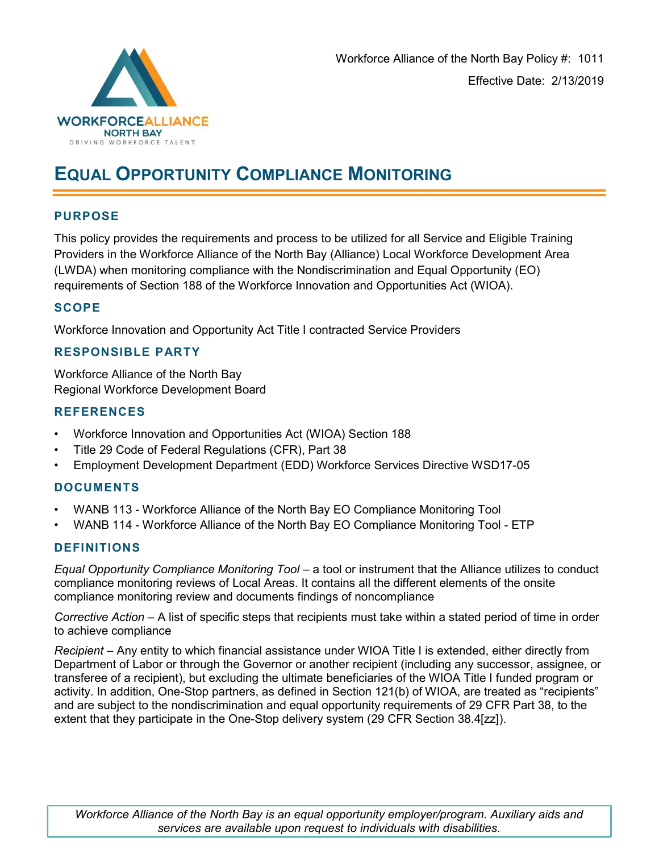

# EQUAL OPPORTUNITY COMPLIANCE MONITORING

## PURPOSE

This policy provides the requirements and process to be utilized for all Service and Eligible Training Providers in the Workforce Alliance of the North Bay (Alliance) Local Workforce Development Area (LWDA) when monitoring compliance with the Nondiscrimination and Equal Opportunity (EO) requirements of Section 188 of the Workforce Innovation and Opportunities Act (WIOA).

#### **SCOPE**

Workforce Innovation and Opportunity Act Title I contracted Service Providers

#### RESPONSIBLE PARTY

Workforce Alliance of the North Bay Regional Workforce Development Board

#### **REFERENCES**

- Workforce Innovation and Opportunities Act (WIOA) Section 188
- Title 29 Code of Federal Regulations (CFR), Part 38
- Employment Development Department (EDD) Workforce Services Directive WSD17-05

### DOCUMENTS

- WANB 113 Workforce Alliance of the North Bay EO Compliance Monitoring Tool
- WANB 114 Workforce Alliance of the North Bay EO Compliance Monitoring Tool ETP

#### **DEFINITIONS**

Equal Opportunity Compliance Monitoring Tool – a tool or instrument that the Alliance utilizes to conduct compliance monitoring reviews of Local Areas. It contains all the different elements of the onsite compliance monitoring review and documents findings of noncompliance

Corrective Action – A list of specific steps that recipients must take within a stated period of time in order to achieve compliance

Recipient – Any entity to which financial assistance under WIOA Title I is extended, either directly from Department of Labor or through the Governor or another recipient (including any successor, assignee, or transferee of a recipient), but excluding the ultimate beneficiaries of the WIOA Title I funded program or activity. In addition, One-Stop partners, as defined in Section 121(b) of WIOA, are treated as "recipients" and are subject to the nondiscrimination and equal opportunity requirements of 29 CFR Part 38, to the extent that they participate in the One-Stop delivery system (29 CFR Section 38.4[zz]).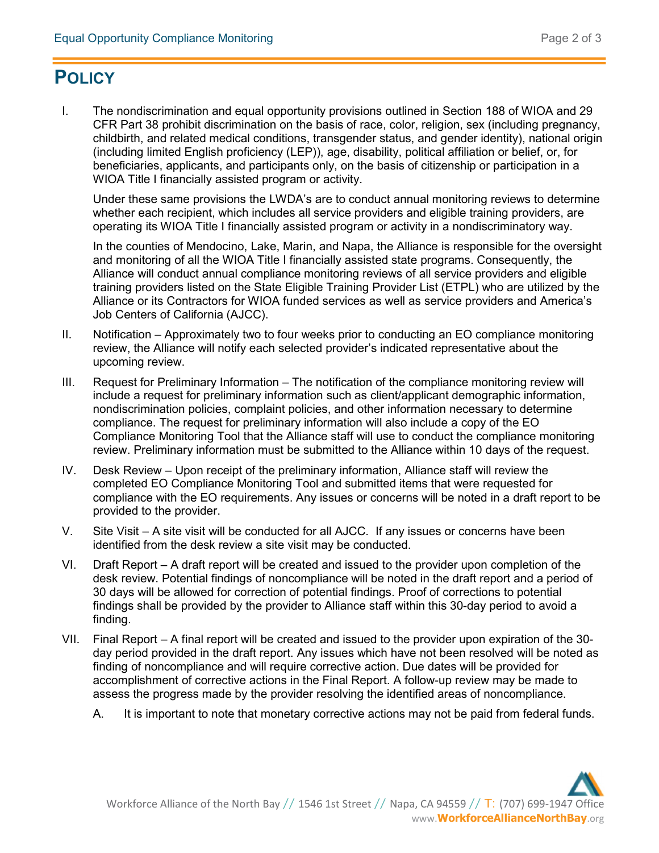# **POLICY**

I. The nondiscrimination and equal opportunity provisions outlined in Section 188 of WIOA and 29 CFR Part 38 prohibit discrimination on the basis of race, color, religion, sex (including pregnancy, childbirth, and related medical conditions, transgender status, and gender identity), national origin (including limited English proficiency (LEP)), age, disability, political affiliation or belief, or, for beneficiaries, applicants, and participants only, on the basis of citizenship or participation in a WIOA Title I financially assisted program or activity.

Under these same provisions the LWDA's are to conduct annual monitoring reviews to determine whether each recipient, which includes all service providers and eligible training providers, are operating its WIOA Title I financially assisted program or activity in a nondiscriminatory way.

In the counties of Mendocino, Lake, Marin, and Napa, the Alliance is responsible for the oversight and monitoring of all the WIOA Title I financially assisted state programs. Consequently, the Alliance will conduct annual compliance monitoring reviews of all service providers and eligible training providers listed on the State Eligible Training Provider List (ETPL) who are utilized by the Alliance or its Contractors for WIOA funded services as well as service providers and America's Job Centers of California (AJCC).

- II. Notification Approximately two to four weeks prior to conducting an EO compliance monitoring review, the Alliance will notify each selected provider's indicated representative about the upcoming review.
- III. Request for Preliminary Information The notification of the compliance monitoring review will include a request for preliminary information such as client/applicant demographic information, nondiscrimination policies, complaint policies, and other information necessary to determine compliance. The request for preliminary information will also include a copy of the EO Compliance Monitoring Tool that the Alliance staff will use to conduct the compliance monitoring review. Preliminary information must be submitted to the Alliance within 10 days of the request.
- IV. Desk Review Upon receipt of the preliminary information, Alliance staff will review the completed EO Compliance Monitoring Tool and submitted items that were requested for compliance with the EO requirements. Any issues or concerns will be noted in a draft report to be provided to the provider.
- V. Site Visit A site visit will be conducted for all AJCC. If any issues or concerns have been identified from the desk review a site visit may be conducted.
- VI. Draft Report A draft report will be created and issued to the provider upon completion of the desk review. Potential findings of noncompliance will be noted in the draft report and a period of 30 days will be allowed for correction of potential findings. Proof of corrections to potential findings shall be provided by the provider to Alliance staff within this 30-day period to avoid a finding.
- VII. Final Report A final report will be created and issued to the provider upon expiration of the 30 day period provided in the draft report. Any issues which have not been resolved will be noted as finding of noncompliance and will require corrective action. Due dates will be provided for accomplishment of corrective actions in the Final Report. A follow-up review may be made to assess the progress made by the provider resolving the identified areas of noncompliance.
	- A. It is important to note that monetary corrective actions may not be paid from federal funds.